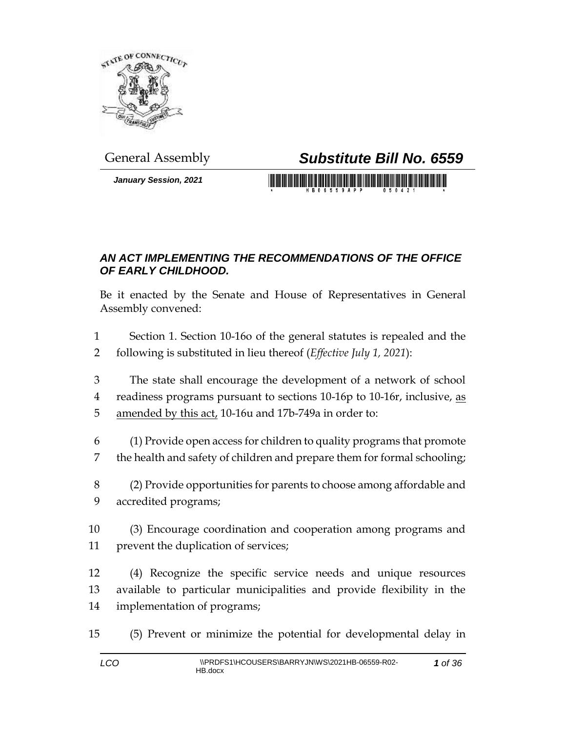

*January Session, 2021*

## General Assembly *Substitute Bill No. 6559*

<u> 1999 - Johann Maria Maria Maria Maria III (</u>

## *AN ACT IMPLEMENTING THE RECOMMENDATIONS OF THE OFFICE OF EARLY CHILDHOOD.*

Be it enacted by the Senate and House of Representatives in General Assembly convened:

 Section 1. Section 10-16o of the general statutes is repealed and the following is substituted in lieu thereof (*Effective July 1, 2021*):

 The state shall encourage the development of a network of school readiness programs pursuant to sections 10-16p to 10-16r, inclusive, as amended by this act, 10-16u and 17b-749a in order to:

 (1) Provide open access for children to quality programs that promote the health and safety of children and prepare them for formal schooling;

 (2) Provide opportunities for parents to choose among affordable and accredited programs;

 (3) Encourage coordination and cooperation among programs and prevent the duplication of services;

 (4) Recognize the specific service needs and unique resources available to particular municipalities and provide flexibility in the implementation of programs;

(5) Prevent or minimize the potential for developmental delay in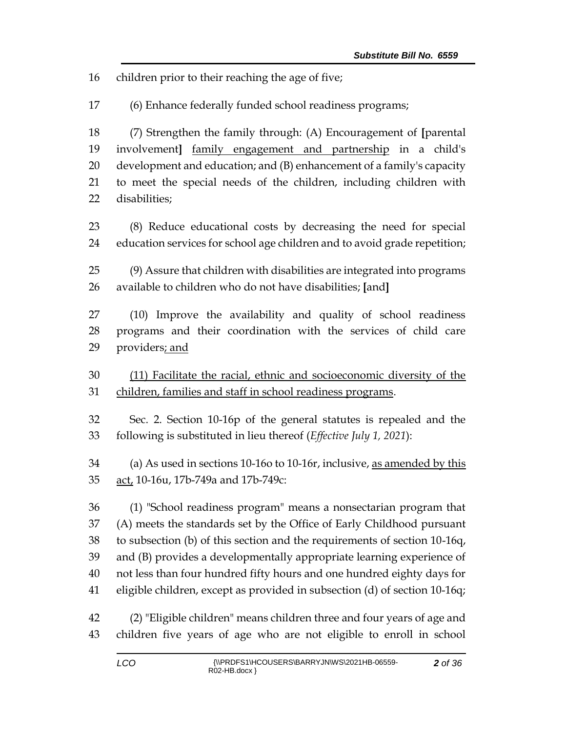children prior to their reaching the age of five;

(6) Enhance federally funded school readiness programs;

 (7) Strengthen the family through: (A) Encouragement of **[**parental involvement**]** family engagement and partnership in a child's development and education; and (B) enhancement of a family's capacity to meet the special needs of the children, including children with disabilities;

 (8) Reduce educational costs by decreasing the need for special education services for school age children and to avoid grade repetition;

 (9) Assure that children with disabilities are integrated into programs available to children who do not have disabilities; **[**and**]**

 (10) Improve the availability and quality of school readiness programs and their coordination with the services of child care 29 providers; and

 (11) Facilitate the racial, ethnic and socioeconomic diversity of the children, families and staff in school readiness programs.

 Sec. 2. Section 10-16p of the general statutes is repealed and the following is substituted in lieu thereof (*Effective July 1, 2021*):

 (a) As used in sections 10-16o to 10-16r, inclusive, as amended by this 35 act, 10-16u, 17b-749a and 17b-749c:

 (1) "School readiness program" means a nonsectarian program that (A) meets the standards set by the Office of Early Childhood pursuant to subsection (b) of this section and the requirements of section 10-16q, and (B) provides a developmentally appropriate learning experience of not less than four hundred fifty hours and one hundred eighty days for eligible children, except as provided in subsection (d) of section 10-16q;

 (2) "Eligible children" means children three and four years of age and children five years of age who are not eligible to enroll in school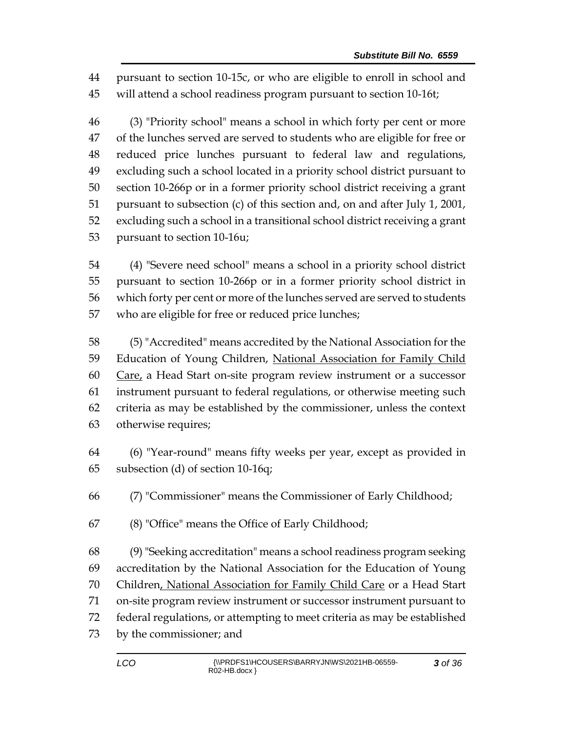pursuant to section 10-15c, or who are eligible to enroll in school and will attend a school readiness program pursuant to section 10-16t;

 (3) "Priority school" means a school in which forty per cent or more of the lunches served are served to students who are eligible for free or reduced price lunches pursuant to federal law and regulations, excluding such a school located in a priority school district pursuant to section 10-266p or in a former priority school district receiving a grant pursuant to subsection (c) of this section and, on and after July 1, 2001, excluding such a school in a transitional school district receiving a grant pursuant to section 10-16u;

 (4) "Severe need school" means a school in a priority school district pursuant to section 10-266p or in a former priority school district in which forty per cent or more of the lunches served are served to students who are eligible for free or reduced price lunches;

 (5) "Accredited" means accredited by the National Association for the 59 Education of Young Children, National Association for Family Child Care, a Head Start on-site program review instrument or a successor instrument pursuant to federal regulations, or otherwise meeting such criteria as may be established by the commissioner, unless the context otherwise requires;

 (6) "Year-round" means fifty weeks per year, except as provided in subsection (d) of section 10-16q;

(7) "Commissioner" means the Commissioner of Early Childhood;

(8) "Office" means the Office of Early Childhood;

 (9) "Seeking accreditation" means a school readiness program seeking accreditation by the National Association for the Education of Young Children, National Association for Family Child Care or a Head Start on-site program review instrument or successor instrument pursuant to federal regulations, or attempting to meet criteria as may be established by the commissioner; and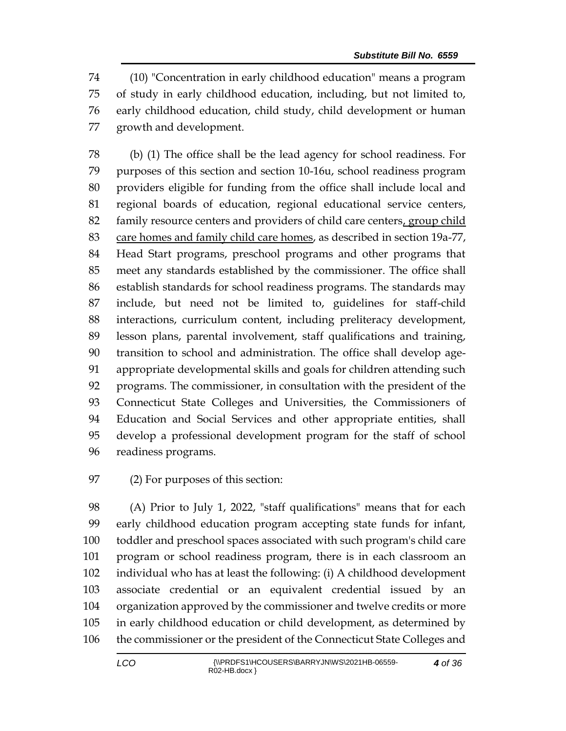(10) "Concentration in early childhood education" means a program of study in early childhood education, including, but not limited to, early childhood education, child study, child development or human growth and development.

 (b) (1) The office shall be the lead agency for school readiness. For purposes of this section and section 10-16u, school readiness program providers eligible for funding from the office shall include local and regional boards of education, regional educational service centers, family resource centers and providers of child care centers, group child 83 care homes and family child care homes, as described in section 19a-77, Head Start programs, preschool programs and other programs that meet any standards established by the commissioner. The office shall establish standards for school readiness programs. The standards may include, but need not be limited to, guidelines for staff-child interactions, curriculum content, including preliteracy development, lesson plans, parental involvement, staff qualifications and training, transition to school and administration. The office shall develop age- appropriate developmental skills and goals for children attending such programs. The commissioner, in consultation with the president of the Connecticut State Colleges and Universities, the Commissioners of Education and Social Services and other appropriate entities, shall develop a professional development program for the staff of school readiness programs.

(2) For purposes of this section:

 (A) Prior to July 1, 2022, "staff qualifications" means that for each early childhood education program accepting state funds for infant, toddler and preschool spaces associated with such program's child care program or school readiness program, there is in each classroom an individual who has at least the following: (i) A childhood development associate credential or an equivalent credential issued by an organization approved by the commissioner and twelve credits or more in early childhood education or child development, as determined by the commissioner or the president of the Connecticut State Colleges and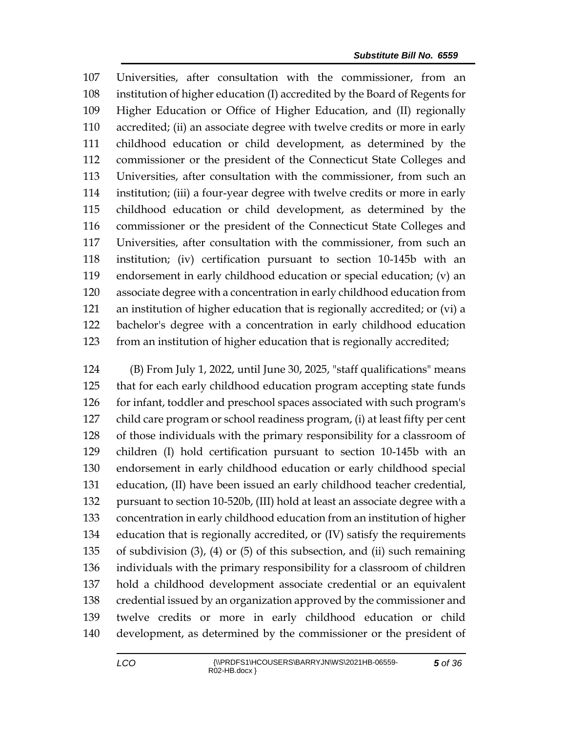Universities, after consultation with the commissioner, from an institution of higher education (I) accredited by the Board of Regents for Higher Education or Office of Higher Education, and (II) regionally accredited; (ii) an associate degree with twelve credits or more in early childhood education or child development, as determined by the commissioner or the president of the Connecticut State Colleges and Universities, after consultation with the commissioner, from such an institution; (iii) a four-year degree with twelve credits or more in early childhood education or child development, as determined by the commissioner or the president of the Connecticut State Colleges and Universities, after consultation with the commissioner, from such an institution; (iv) certification pursuant to section 10-145b with an endorsement in early childhood education or special education; (v) an associate degree with a concentration in early childhood education from an institution of higher education that is regionally accredited; or (vi) a bachelor's degree with a concentration in early childhood education from an institution of higher education that is regionally accredited;

 (B) From July 1, 2022, until June 30, 2025, "staff qualifications" means that for each early childhood education program accepting state funds 126 for infant, toddler and preschool spaces associated with such program's child care program or school readiness program, (i) at least fifty per cent of those individuals with the primary responsibility for a classroom of children (I) hold certification pursuant to section 10-145b with an endorsement in early childhood education or early childhood special education, (II) have been issued an early childhood teacher credential, pursuant to section 10-520b, (III) hold at least an associate degree with a concentration in early childhood education from an institution of higher education that is regionally accredited, or (IV) satisfy the requirements of subdivision (3), (4) or (5) of this subsection, and (ii) such remaining individuals with the primary responsibility for a classroom of children hold a childhood development associate credential or an equivalent credential issued by an organization approved by the commissioner and twelve credits or more in early childhood education or child development, as determined by the commissioner or the president of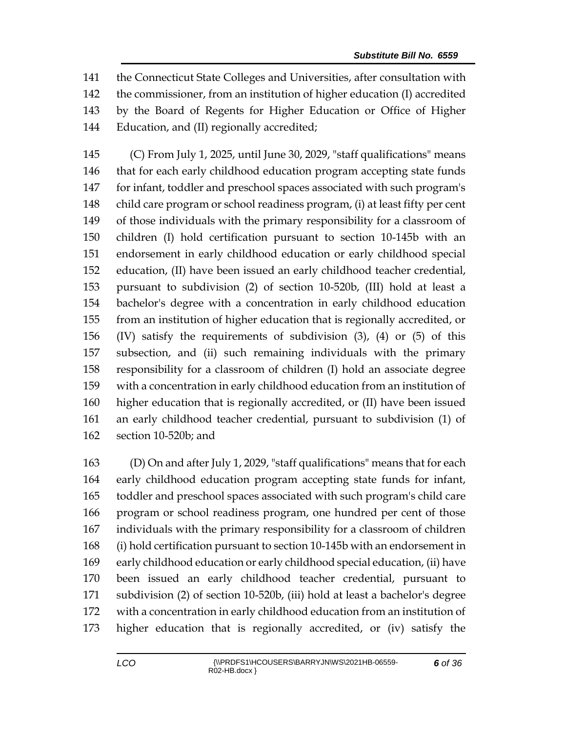the Connecticut State Colleges and Universities, after consultation with the commissioner, from an institution of higher education (I) accredited by the Board of Regents for Higher Education or Office of Higher Education, and (II) regionally accredited;

 (C) From July 1, 2025, until June 30, 2029, "staff qualifications" means that for each early childhood education program accepting state funds for infant, toddler and preschool spaces associated with such program's child care program or school readiness program, (i) at least fifty per cent of those individuals with the primary responsibility for a classroom of children (I) hold certification pursuant to section 10-145b with an endorsement in early childhood education or early childhood special education, (II) have been issued an early childhood teacher credential, pursuant to subdivision (2) of section 10-520b, (III) hold at least a bachelor's degree with a concentration in early childhood education from an institution of higher education that is regionally accredited, or (IV) satisfy the requirements of subdivision (3), (4) or (5) of this subsection, and (ii) such remaining individuals with the primary responsibility for a classroom of children (I) hold an associate degree with a concentration in early childhood education from an institution of higher education that is regionally accredited, or (II) have been issued an early childhood teacher credential, pursuant to subdivision (1) of section 10-520b; and

 (D) On and after July 1, 2029, "staff qualifications" means that for each early childhood education program accepting state funds for infant, toddler and preschool spaces associated with such program's child care program or school readiness program, one hundred per cent of those individuals with the primary responsibility for a classroom of children (i) hold certification pursuant to section 10-145b with an endorsement in early childhood education or early childhood special education, (ii) have been issued an early childhood teacher credential, pursuant to subdivision (2) of section 10-520b, (iii) hold at least a bachelor's degree with a concentration in early childhood education from an institution of higher education that is regionally accredited, or (iv) satisfy the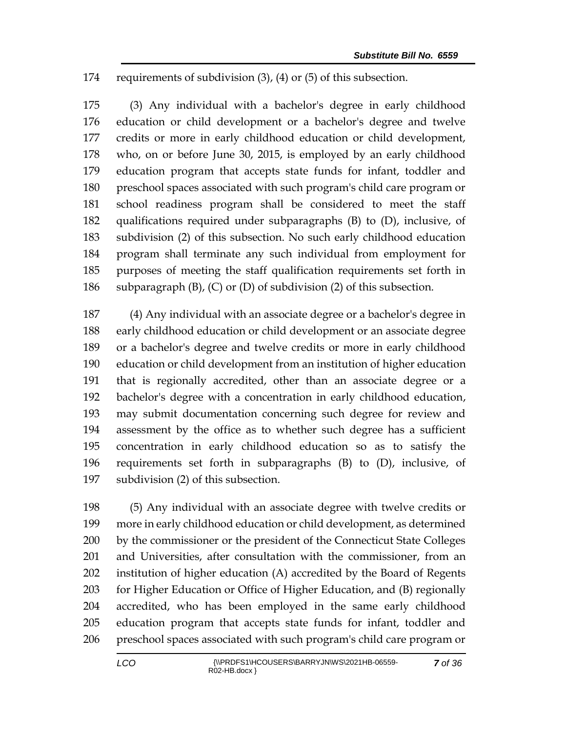requirements of subdivision (3), (4) or (5) of this subsection.

 (3) Any individual with a bachelor's degree in early childhood education or child development or a bachelor's degree and twelve credits or more in early childhood education or child development, who, on or before June 30, 2015, is employed by an early childhood education program that accepts state funds for infant, toddler and preschool spaces associated with such program's child care program or school readiness program shall be considered to meet the staff qualifications required under subparagraphs (B) to (D), inclusive, of subdivision (2) of this subsection. No such early childhood education program shall terminate any such individual from employment for purposes of meeting the staff qualification requirements set forth in subparagraph (B), (C) or (D) of subdivision (2) of this subsection.

 (4) Any individual with an associate degree or a bachelor's degree in early childhood education or child development or an associate degree or a bachelor's degree and twelve credits or more in early childhood education or child development from an institution of higher education that is regionally accredited, other than an associate degree or a bachelor's degree with a concentration in early childhood education, may submit documentation concerning such degree for review and assessment by the office as to whether such degree has a sufficient concentration in early childhood education so as to satisfy the requirements set forth in subparagraphs (B) to (D), inclusive, of subdivision (2) of this subsection.

 (5) Any individual with an associate degree with twelve credits or more in early childhood education or child development, as determined by the commissioner or the president of the Connecticut State Colleges and Universities, after consultation with the commissioner, from an institution of higher education (A) accredited by the Board of Regents for Higher Education or Office of Higher Education, and (B) regionally accredited, who has been employed in the same early childhood education program that accepts state funds for infant, toddler and preschool spaces associated with such program's child care program or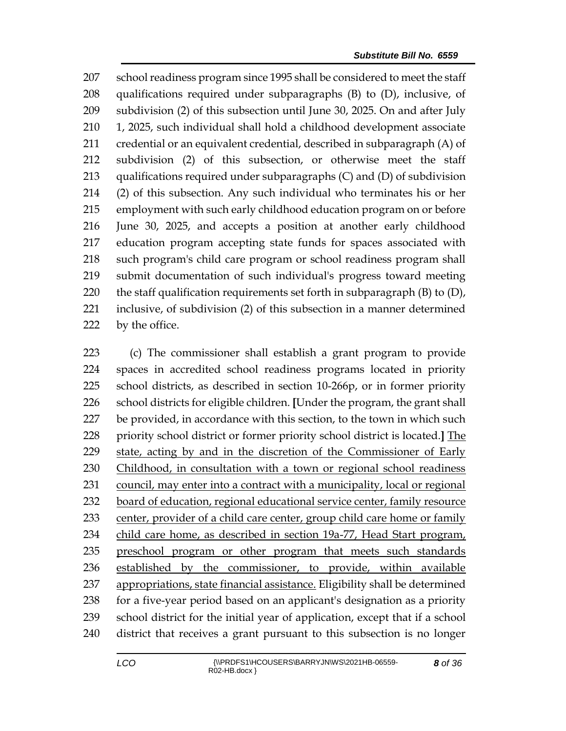school readiness program since 1995 shall be considered to meet the staff qualifications required under subparagraphs (B) to (D), inclusive, of subdivision (2) of this subsection until June 30, 2025. On and after July 1, 2025, such individual shall hold a childhood development associate credential or an equivalent credential, described in subparagraph (A) of subdivision (2) of this subsection, or otherwise meet the staff qualifications required under subparagraphs (C) and (D) of subdivision (2) of this subsection. Any such individual who terminates his or her employment with such early childhood education program on or before June 30, 2025, and accepts a position at another early childhood education program accepting state funds for spaces associated with such program's child care program or school readiness program shall submit documentation of such individual's progress toward meeting 220 the staff qualification requirements set forth in subparagraph  $(B)$  to  $(D)$ , inclusive, of subdivision (2) of this subsection in a manner determined 222 by the office.

 (c) The commissioner shall establish a grant program to provide spaces in accredited school readiness programs located in priority school districts, as described in section 10-266p, or in former priority school districts for eligible children. **[**Under the program, the grant shall be provided, in accordance with this section, to the town in which such priority school district or former priority school district is located.**]** The state, acting by and in the discretion of the Commissioner of Early Childhood, in consultation with a town or regional school readiness 231 council, may enter into a contract with a municipality, local or regional board of education, regional educational service center, family resource 233 center, provider of a child care center, group child care home or family 234 child care home, as described in section 19a-77, Head Start program, preschool program or other program that meets such standards established by the commissioner, to provide, within available appropriations, state financial assistance. Eligibility shall be determined for a five-year period based on an applicant's designation as a priority school district for the initial year of application, except that if a school district that receives a grant pursuant to this subsection is no longer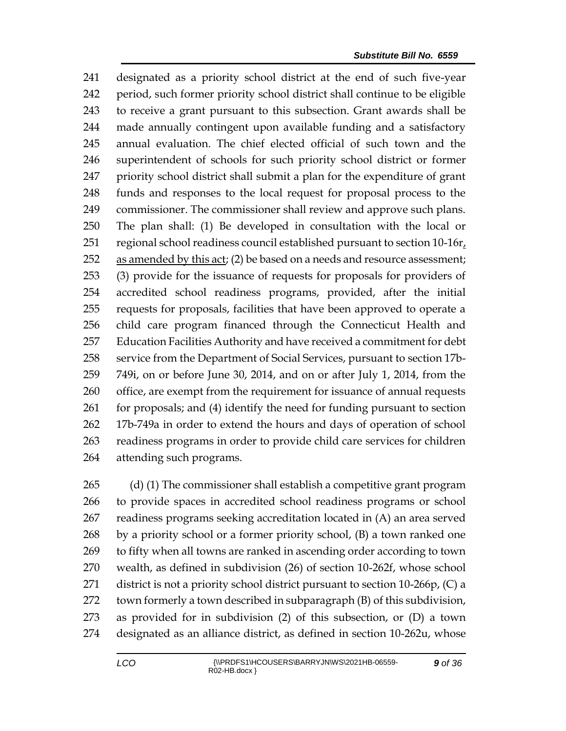designated as a priority school district at the end of such five-year period, such former priority school district shall continue to be eligible to receive a grant pursuant to this subsection. Grant awards shall be made annually contingent upon available funding and a satisfactory annual evaluation. The chief elected official of such town and the superintendent of schools for such priority school district or former priority school district shall submit a plan for the expenditure of grant funds and responses to the local request for proposal process to the commissioner. The commissioner shall review and approve such plans. The plan shall: (1) Be developed in consultation with the local or 251 regional school readiness council established pursuant to section  $10-16r<sub>t</sub>$  as amended by this act; (2) be based on a needs and resource assessment; (3) provide for the issuance of requests for proposals for providers of accredited school readiness programs, provided, after the initial requests for proposals, facilities that have been approved to operate a child care program financed through the Connecticut Health and Education Facilities Authority and have received a commitment for debt service from the Department of Social Services, pursuant to section 17b- 749i, on or before June 30, 2014, and on or after July 1, 2014, from the office, are exempt from the requirement for issuance of annual requests for proposals; and (4) identify the need for funding pursuant to section 17b-749a in order to extend the hours and days of operation of school readiness programs in order to provide child care services for children attending such programs.

 (d) (1) The commissioner shall establish a competitive grant program to provide spaces in accredited school readiness programs or school readiness programs seeking accreditation located in (A) an area served by a priority school or a former priority school, (B) a town ranked one to fifty when all towns are ranked in ascending order according to town wealth, as defined in subdivision (26) of section 10-262f, whose school 271 district is not a priority school district pursuant to section 10-266p, (C) a town formerly a town described in subparagraph (B) of this subdivision, as provided for in subdivision (2) of this subsection, or (D) a town designated as an alliance district, as defined in section 10-262u, whose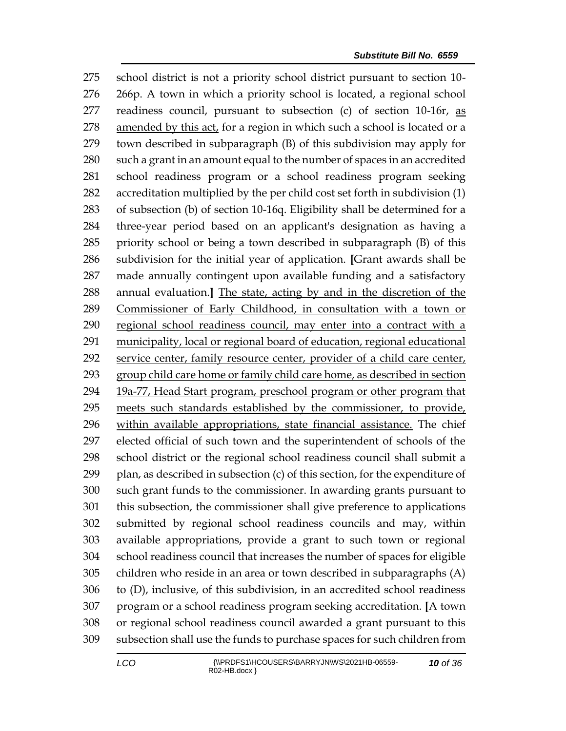school district is not a priority school district pursuant to section 10- 266p. A town in which a priority school is located, a regional school readiness council, pursuant to subsection (c) of section 10-16r, as amended by this act, for a region in which such a school is located or a town described in subparagraph (B) of this subdivision may apply for such a grant in an amount equal to the number of spaces in an accredited school readiness program or a school readiness program seeking accreditation multiplied by the per child cost set forth in subdivision (1) of subsection (b) of section 10-16q. Eligibility shall be determined for a three-year period based on an applicant's designation as having a priority school or being a town described in subparagraph (B) of this subdivision for the initial year of application. **[**Grant awards shall be made annually contingent upon available funding and a satisfactory annual evaluation.**]** The state, acting by and in the discretion of the Commissioner of Early Childhood, in consultation with a town or regional school readiness council, may enter into a contract with a municipality, local or regional board of education, regional educational service center, family resource center, provider of a child care center, group child care home or family child care home, as described in section 19a-77, Head Start program, preschool program or other program that meets such standards established by the commissioner, to provide, within available appropriations, state financial assistance. The chief elected official of such town and the superintendent of schools of the school district or the regional school readiness council shall submit a plan, as described in subsection (c) of this section, for the expenditure of such grant funds to the commissioner. In awarding grants pursuant to this subsection, the commissioner shall give preference to applications submitted by regional school readiness councils and may, within available appropriations, provide a grant to such town or regional school readiness council that increases the number of spaces for eligible children who reside in an area or town described in subparagraphs (A) to (D), inclusive, of this subdivision, in an accredited school readiness program or a school readiness program seeking accreditation. **[**A town or regional school readiness council awarded a grant pursuant to this subsection shall use the funds to purchase spaces for such children from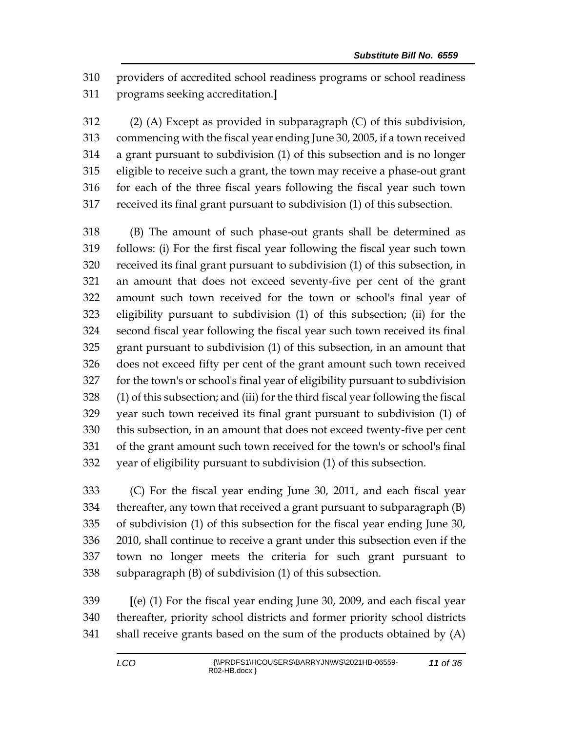providers of accredited school readiness programs or school readiness programs seeking accreditation.**]**

 (2) (A) Except as provided in subparagraph (C) of this subdivision, commencing with the fiscal year ending June 30, 2005, if a town received a grant pursuant to subdivision (1) of this subsection and is no longer eligible to receive such a grant, the town may receive a phase-out grant for each of the three fiscal years following the fiscal year such town received its final grant pursuant to subdivision (1) of this subsection.

 (B) The amount of such phase-out grants shall be determined as follows: (i) For the first fiscal year following the fiscal year such town received its final grant pursuant to subdivision (1) of this subsection, in an amount that does not exceed seventy-five per cent of the grant amount such town received for the town or school's final year of eligibility pursuant to subdivision (1) of this subsection; (ii) for the second fiscal year following the fiscal year such town received its final grant pursuant to subdivision (1) of this subsection, in an amount that does not exceed fifty per cent of the grant amount such town received for the town's or school's final year of eligibility pursuant to subdivision (1) of this subsection; and (iii) for the third fiscal year following the fiscal year such town received its final grant pursuant to subdivision (1) of this subsection, in an amount that does not exceed twenty-five per cent of the grant amount such town received for the town's or school's final year of eligibility pursuant to subdivision (1) of this subsection.

 (C) For the fiscal year ending June 30, 2011, and each fiscal year thereafter, any town that received a grant pursuant to subparagraph (B) of subdivision (1) of this subsection for the fiscal year ending June 30, 2010, shall continue to receive a grant under this subsection even if the town no longer meets the criteria for such grant pursuant to subparagraph (B) of subdivision (1) of this subsection.

 **[**(e) (1) For the fiscal year ending June 30, 2009, and each fiscal year thereafter, priority school districts and former priority school districts shall receive grants based on the sum of the products obtained by (A)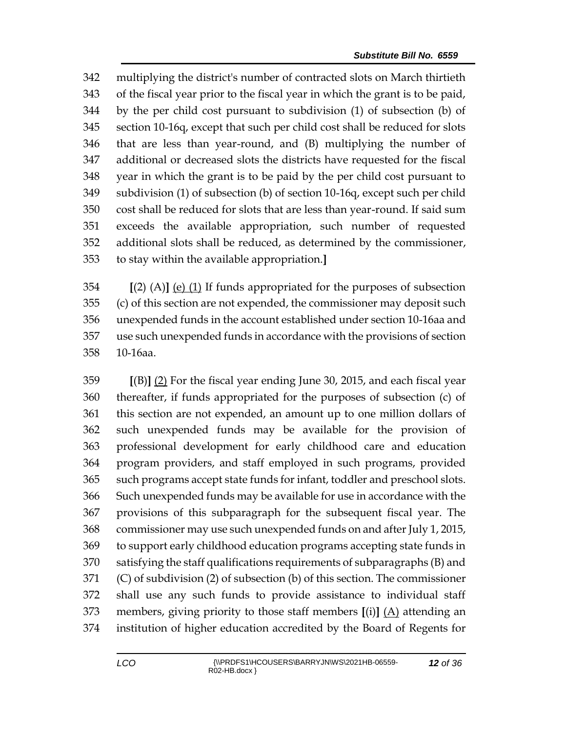multiplying the district's number of contracted slots on March thirtieth of the fiscal year prior to the fiscal year in which the grant is to be paid, by the per child cost pursuant to subdivision (1) of subsection (b) of section 10-16q, except that such per child cost shall be reduced for slots that are less than year-round, and (B) multiplying the number of additional or decreased slots the districts have requested for the fiscal year in which the grant is to be paid by the per child cost pursuant to subdivision (1) of subsection (b) of section 10-16q, except such per child cost shall be reduced for slots that are less than year-round. If said sum exceeds the available appropriation, such number of requested additional slots shall be reduced, as determined by the commissioner, to stay within the available appropriation.**]**

 **[**(2) (A)**]** (e) (1) If funds appropriated for the purposes of subsection (c) of this section are not expended, the commissioner may deposit such unexpended funds in the account established under section 10-16aa and use such unexpended funds in accordance with the provisions of section 10-16aa.

 **[**(B)**]** (2) For the fiscal year ending June 30, 2015, and each fiscal year thereafter, if funds appropriated for the purposes of subsection (c) of this section are not expended, an amount up to one million dollars of such unexpended funds may be available for the provision of professional development for early childhood care and education program providers, and staff employed in such programs, provided such programs accept state funds for infant, toddler and preschool slots. Such unexpended funds may be available for use in accordance with the provisions of this subparagraph for the subsequent fiscal year. The commissioner may use such unexpended funds on and after July 1, 2015, to support early childhood education programs accepting state funds in satisfying the staff qualifications requirements of subparagraphs (B) and (C) of subdivision (2) of subsection (b) of this section. The commissioner shall use any such funds to provide assistance to individual staff members, giving priority to those staff members **[**(i)**]** (A) attending an institution of higher education accredited by the Board of Regents for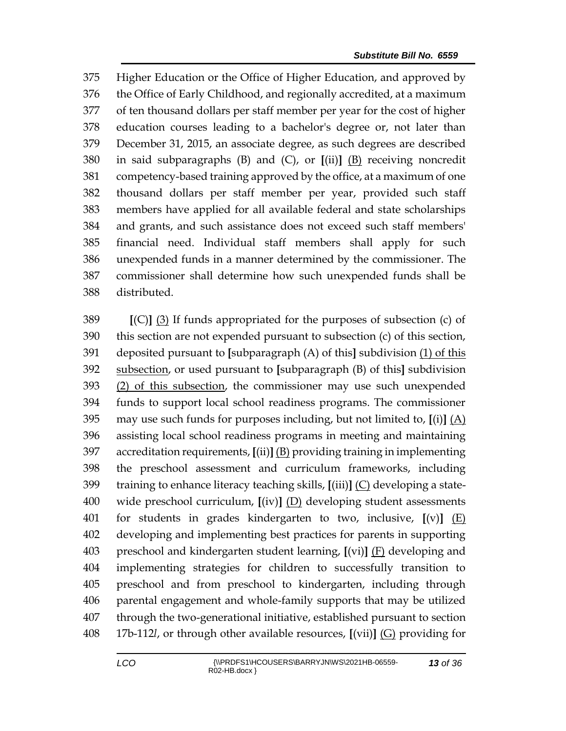Higher Education or the Office of Higher Education, and approved by the Office of Early Childhood, and regionally accredited, at a maximum of ten thousand dollars per staff member per year for the cost of higher education courses leading to a bachelor's degree or, not later than December 31, 2015, an associate degree, as such degrees are described in said subparagraphs (B) and (C), or **[**(ii)**]** (B) receiving noncredit competency-based training approved by the office, at a maximum of one thousand dollars per staff member per year, provided such staff members have applied for all available federal and state scholarships and grants, and such assistance does not exceed such staff members' financial need. Individual staff members shall apply for such unexpended funds in a manner determined by the commissioner. The commissioner shall determine how such unexpended funds shall be distributed.

 **[**(C)**]** (3) If funds appropriated for the purposes of subsection (c) of this section are not expended pursuant to subsection (c) of this section, deposited pursuant to **[**subparagraph (A) of this**]** subdivision (1) of this subsection, or used pursuant to **[**subparagraph (B) of this**]** subdivision (2) of this subsection, the commissioner may use such unexpended funds to support local school readiness programs. The commissioner may use such funds for purposes including, but not limited to, **[**(i)**]** (A) assisting local school readiness programs in meeting and maintaining accreditation requirements, **[**(ii)**]** (B) providing training in implementing the preschool assessment and curriculum frameworks, including training to enhance literacy teaching skills, **[**(iii)**]** (C) developing a state- wide preschool curriculum, **[**(iv)**]** (D) developing student assessments for students in grades kindergarten to two, inclusive, **[**(v)**]** (E) developing and implementing best practices for parents in supporting preschool and kindergarten student learning, **[**(vi)**]** (F) developing and implementing strategies for children to successfully transition to preschool and from preschool to kindergarten, including through parental engagement and whole-family supports that may be utilized through the two-generational initiative, established pursuant to section 17b-112*l*, or through other available resources, **[**(vii)**]** (G) providing for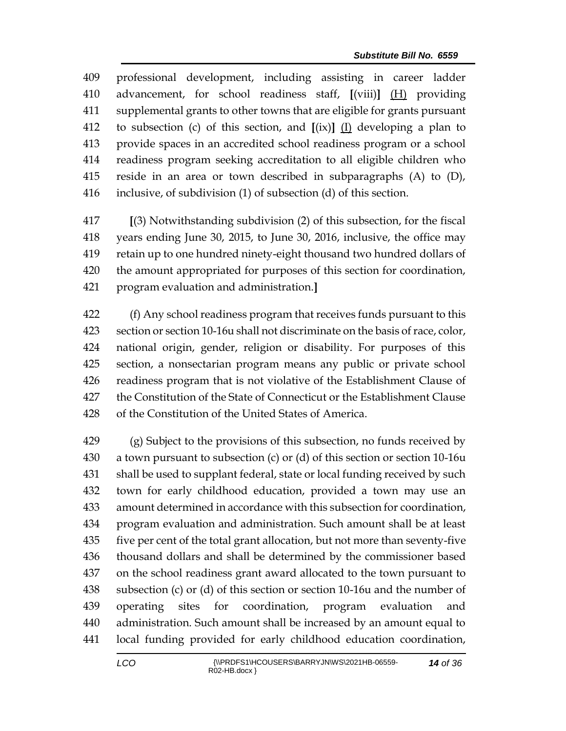professional development, including assisting in career ladder advancement, for school readiness staff, **[**(viii)**]** (H) providing supplemental grants to other towns that are eligible for grants pursuant to subsection (c) of this section, and **[**(ix)**]** (I) developing a plan to provide spaces in an accredited school readiness program or a school readiness program seeking accreditation to all eligible children who reside in an area or town described in subparagraphs (A) to (D), inclusive, of subdivision (1) of subsection (d) of this section.

 **[**(3) Notwithstanding subdivision (2) of this subsection, for the fiscal years ending June 30, 2015, to June 30, 2016, inclusive, the office may retain up to one hundred ninety-eight thousand two hundred dollars of the amount appropriated for purposes of this section for coordination, program evaluation and administration.**]**

 (f) Any school readiness program that receives funds pursuant to this section or section 10-16u shall not discriminate on the basis of race, color, national origin, gender, religion or disability. For purposes of this section, a nonsectarian program means any public or private school readiness program that is not violative of the Establishment Clause of the Constitution of the State of Connecticut or the Establishment Clause of the Constitution of the United States of America.

 (g) Subject to the provisions of this subsection, no funds received by a town pursuant to subsection (c) or (d) of this section or section 10-16u shall be used to supplant federal, state or local funding received by such town for early childhood education, provided a town may use an amount determined in accordance with this subsection for coordination, program evaluation and administration. Such amount shall be at least five per cent of the total grant allocation, but not more than seventy-five thousand dollars and shall be determined by the commissioner based on the school readiness grant award allocated to the town pursuant to subsection (c) or (d) of this section or section 10-16u and the number of operating sites for coordination, program evaluation and administration. Such amount shall be increased by an amount equal to local funding provided for early childhood education coordination,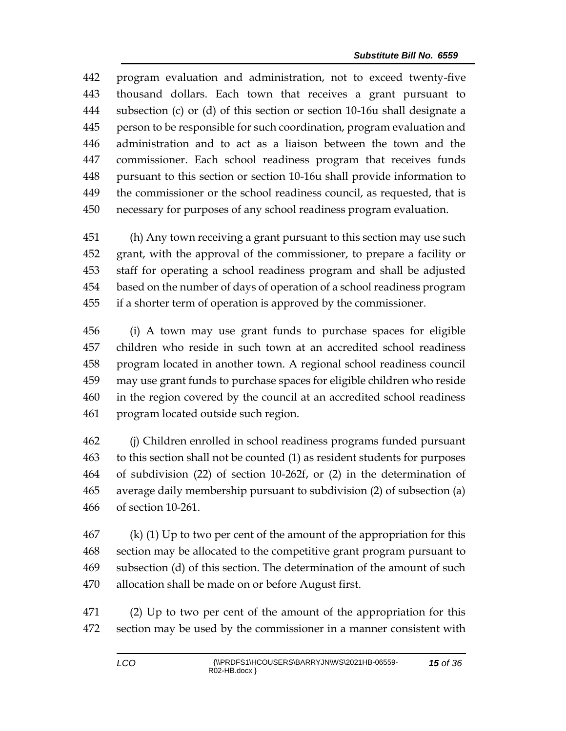program evaluation and administration, not to exceed twenty-five thousand dollars. Each town that receives a grant pursuant to subsection (c) or (d) of this section or section 10-16u shall designate a person to be responsible for such coordination, program evaluation and administration and to act as a liaison between the town and the commissioner. Each school readiness program that receives funds pursuant to this section or section 10-16u shall provide information to the commissioner or the school readiness council, as requested, that is necessary for purposes of any school readiness program evaluation.

 (h) Any town receiving a grant pursuant to this section may use such grant, with the approval of the commissioner, to prepare a facility or staff for operating a school readiness program and shall be adjusted based on the number of days of operation of a school readiness program if a shorter term of operation is approved by the commissioner.

 (i) A town may use grant funds to purchase spaces for eligible children who reside in such town at an accredited school readiness program located in another town. A regional school readiness council may use grant funds to purchase spaces for eligible children who reside in the region covered by the council at an accredited school readiness program located outside such region.

 (j) Children enrolled in school readiness programs funded pursuant to this section shall not be counted (1) as resident students for purposes of subdivision (22) of section 10-262f, or (2) in the determination of average daily membership pursuant to subdivision (2) of subsection (a) of section 10-261.

 (k) (1) Up to two per cent of the amount of the appropriation for this section may be allocated to the competitive grant program pursuant to subsection (d) of this section. The determination of the amount of such allocation shall be made on or before August first.

 (2) Up to two per cent of the amount of the appropriation for this section may be used by the commissioner in a manner consistent with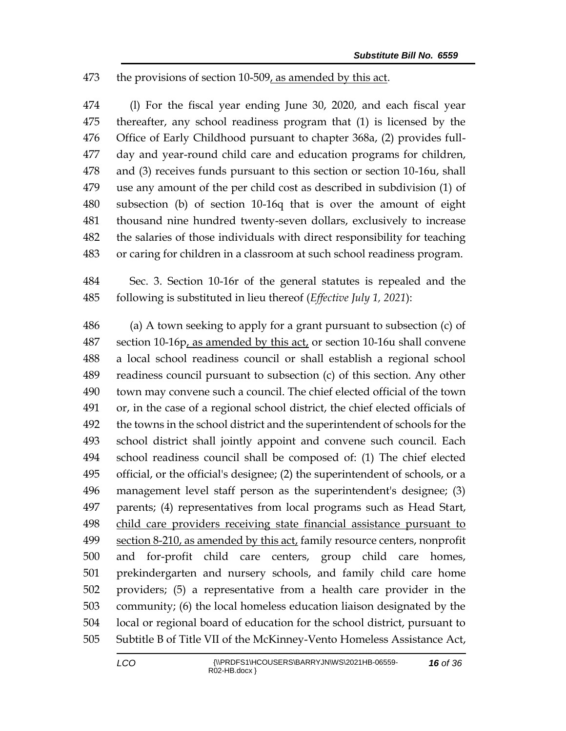## the provisions of section 10-509, as amended by this act.

 (l) For the fiscal year ending June 30, 2020, and each fiscal year thereafter, any school readiness program that (1) is licensed by the Office of Early Childhood pursuant to chapter 368a, (2) provides full- day and year-round child care and education programs for children, and (3) receives funds pursuant to this section or section 10-16u, shall use any amount of the per child cost as described in subdivision (1) of subsection (b) of section 10-16q that is over the amount of eight thousand nine hundred twenty-seven dollars, exclusively to increase the salaries of those individuals with direct responsibility for teaching or caring for children in a classroom at such school readiness program.

 Sec. 3. Section 10-16r of the general statutes is repealed and the following is substituted in lieu thereof (*Effective July 1, 2021*):

 (a) A town seeking to apply for a grant pursuant to subsection (c) of section 10-16p, as amended by this act, or section 10-16u shall convene a local school readiness council or shall establish a regional school readiness council pursuant to subsection (c) of this section. Any other town may convene such a council. The chief elected official of the town or, in the case of a regional school district, the chief elected officials of the towns in the school district and the superintendent of schools for the school district shall jointly appoint and convene such council. Each school readiness council shall be composed of: (1) The chief elected official, or the official's designee; (2) the superintendent of schools, or a management level staff person as the superintendent's designee; (3) parents; (4) representatives from local programs such as Head Start, child care providers receiving state financial assistance pursuant to section 8-210, as amended by this act, family resource centers, nonprofit and for-profit child care centers, group child care homes, prekindergarten and nursery schools, and family child care home providers; (5) a representative from a health care provider in the community; (6) the local homeless education liaison designated by the local or regional board of education for the school district, pursuant to Subtitle B of Title VII of the McKinney-Vento Homeless Assistance Act,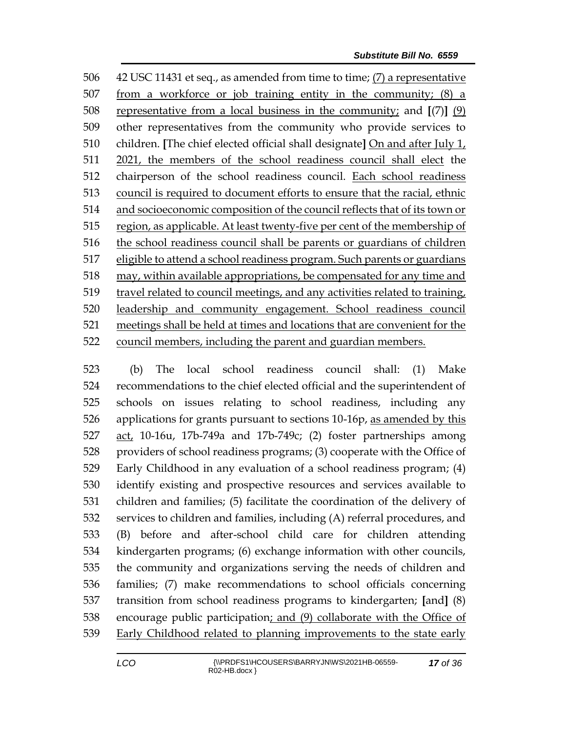42 USC 11431 et seq., as amended from time to time; (7) a representative 507 from a workforce or job training entity in the community;  $(8)$  a representative from a local business in the community; and **[**(7)**]** (9) other representatives from the community who provide services to children. **[**The chief elected official shall designate**]** On and after July 1, 2021, the members of the school readiness council shall elect the chairperson of the school readiness council. Each school readiness council is required to document efforts to ensure that the racial, ethnic and socioeconomic composition of the council reflects that of its town or region, as applicable. At least twenty-five per cent of the membership of the school readiness council shall be parents or guardians of children eligible to attend a school readiness program. Such parents or guardians may, within available appropriations, be compensated for any time and travel related to council meetings, and any activities related to training, leadership and community engagement. School readiness council meetings shall be held at times and locations that are convenient for the council members, including the parent and guardian members.

 (b) The local school readiness council shall: (1) Make recommendations to the chief elected official and the superintendent of schools on issues relating to school readiness, including any applications for grants pursuant to sections 10-16p, as amended by this act, 10-16u, 17b-749a and 17b-749c; (2) foster partnerships among providers of school readiness programs; (3) cooperate with the Office of Early Childhood in any evaluation of a school readiness program; (4) identify existing and prospective resources and services available to children and families; (5) facilitate the coordination of the delivery of services to children and families, including (A) referral procedures, and (B) before and after-school child care for children attending kindergarten programs; (6) exchange information with other councils, the community and organizations serving the needs of children and families; (7) make recommendations to school officials concerning transition from school readiness programs to kindergarten; **[**and**]** (8) encourage public participation; and (9) collaborate with the Office of Early Childhood related to planning improvements to the state early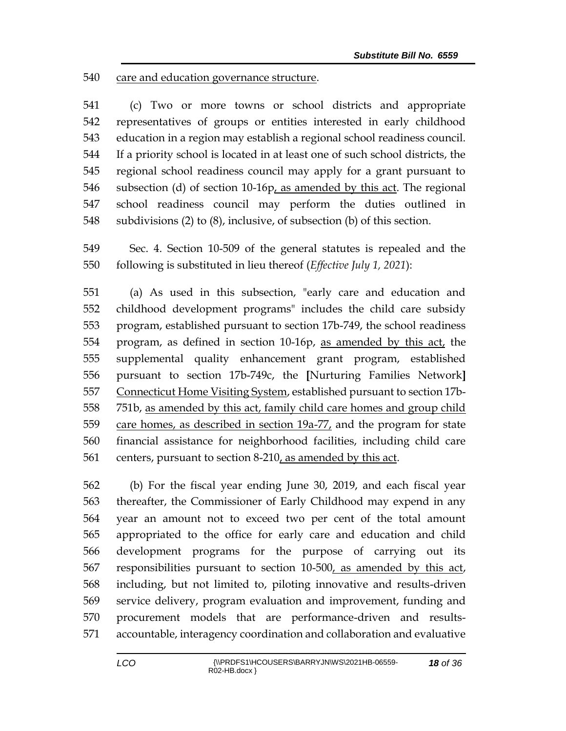care and education governance structure.

 (c) Two or more towns or school districts and appropriate representatives of groups or entities interested in early childhood education in a region may establish a regional school readiness council. If a priority school is located in at least one of such school districts, the regional school readiness council may apply for a grant pursuant to subsection (d) of section 10-16p, as amended by this act. The regional school readiness council may perform the duties outlined in subdivisions (2) to (8), inclusive, of subsection (b) of this section.

 Sec. 4. Section 10-509 of the general statutes is repealed and the following is substituted in lieu thereof (*Effective July 1, 2021*):

 (a) As used in this subsection, "early care and education and childhood development programs" includes the child care subsidy program, established pursuant to section 17b-749, the school readiness program, as defined in section 10-16p, as amended by this act, the supplemental quality enhancement grant program, established pursuant to section 17b-749c, the **[**Nurturing Families Network**]** Connecticut Home Visiting System, established pursuant to section 17b- 751b, as amended by this act, family child care homes and group child 559 care homes, as described in section 19a-77, and the program for state financial assistance for neighborhood facilities, including child care centers, pursuant to section 8-210, as amended by this act.

 (b) For the fiscal year ending June 30, 2019, and each fiscal year thereafter, the Commissioner of Early Childhood may expend in any year an amount not to exceed two per cent of the total amount appropriated to the office for early care and education and child development programs for the purpose of carrying out its 567 responsibilities pursuant to section 10-500, as amended by this act, including, but not limited to, piloting innovative and results-driven service delivery, program evaluation and improvement, funding and procurement models that are performance-driven and results-accountable, interagency coordination and collaboration and evaluative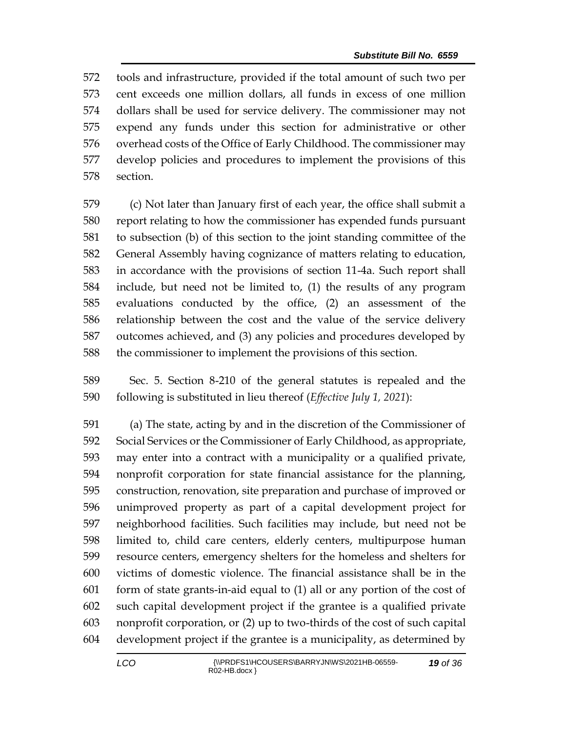tools and infrastructure, provided if the total amount of such two per cent exceeds one million dollars, all funds in excess of one million dollars shall be used for service delivery. The commissioner may not expend any funds under this section for administrative or other overhead costs of the Office of Early Childhood. The commissioner may develop policies and procedures to implement the provisions of this section.

 (c) Not later than January first of each year, the office shall submit a report relating to how the commissioner has expended funds pursuant to subsection (b) of this section to the joint standing committee of the General Assembly having cognizance of matters relating to education, in accordance with the provisions of section 11-4a. Such report shall include, but need not be limited to, (1) the results of any program evaluations conducted by the office, (2) an assessment of the relationship between the cost and the value of the service delivery outcomes achieved, and (3) any policies and procedures developed by the commissioner to implement the provisions of this section.

 Sec. 5. Section 8-210 of the general statutes is repealed and the following is substituted in lieu thereof (*Effective July 1, 2021*):

 (a) The state, acting by and in the discretion of the Commissioner of Social Services or the Commissioner of Early Childhood, as appropriate, may enter into a contract with a municipality or a qualified private, nonprofit corporation for state financial assistance for the planning, construction, renovation, site preparation and purchase of improved or unimproved property as part of a capital development project for neighborhood facilities. Such facilities may include, but need not be limited to, child care centers, elderly centers, multipurpose human resource centers, emergency shelters for the homeless and shelters for victims of domestic violence. The financial assistance shall be in the form of state grants-in-aid equal to (1) all or any portion of the cost of such capital development project if the grantee is a qualified private nonprofit corporation, or (2) up to two-thirds of the cost of such capital development project if the grantee is a municipality, as determined by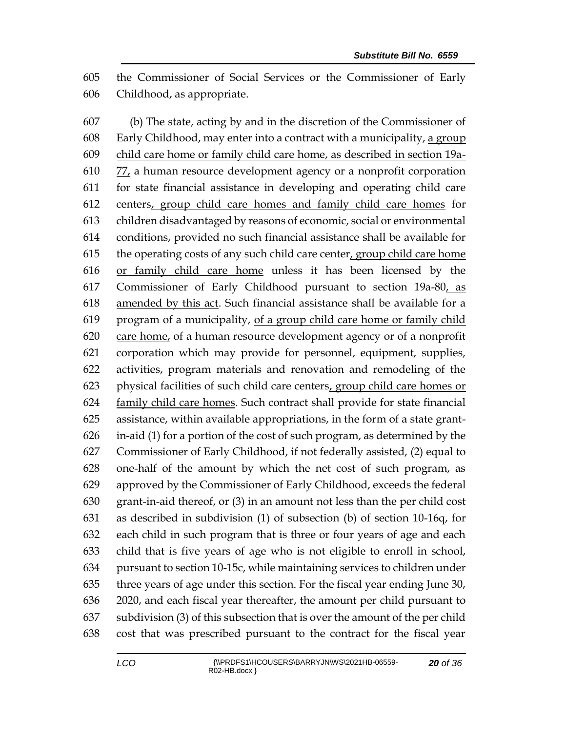the Commissioner of Social Services or the Commissioner of Early Childhood, as appropriate.

 (b) The state, acting by and in the discretion of the Commissioner of Early Childhood, may enter into a contract with a municipality, a group child care home or family child care home, as described in section 19a- 77, a human resource development agency or a nonprofit corporation for state financial assistance in developing and operating child care centers, group child care homes and family child care homes for children disadvantaged by reasons of economic, social or environmental conditions, provided no such financial assistance shall be available for the operating costs of any such child care center, group child care home or family child care home unless it has been licensed by the Commissioner of Early Childhood pursuant to section 19a-80, as amended by this act. Such financial assistance shall be available for a program of a municipality, of a group child care home or family child care home, of a human resource development agency or of a nonprofit corporation which may provide for personnel, equipment, supplies, activities, program materials and renovation and remodeling of the physical facilities of such child care centers, group child care homes or 624 family child care homes. Such contract shall provide for state financial assistance, within available appropriations, in the form of a state grant- in-aid (1) for a portion of the cost of such program, as determined by the Commissioner of Early Childhood, if not federally assisted, (2) equal to one-half of the amount by which the net cost of such program, as approved by the Commissioner of Early Childhood, exceeds the federal grant-in-aid thereof, or (3) in an amount not less than the per child cost as described in subdivision (1) of subsection (b) of section 10-16q, for each child in such program that is three or four years of age and each child that is five years of age who is not eligible to enroll in school, pursuant to section 10-15c, while maintaining services to children under three years of age under this section. For the fiscal year ending June 30, 2020, and each fiscal year thereafter, the amount per child pursuant to subdivision (3) of this subsection that is over the amount of the per child cost that was prescribed pursuant to the contract for the fiscal year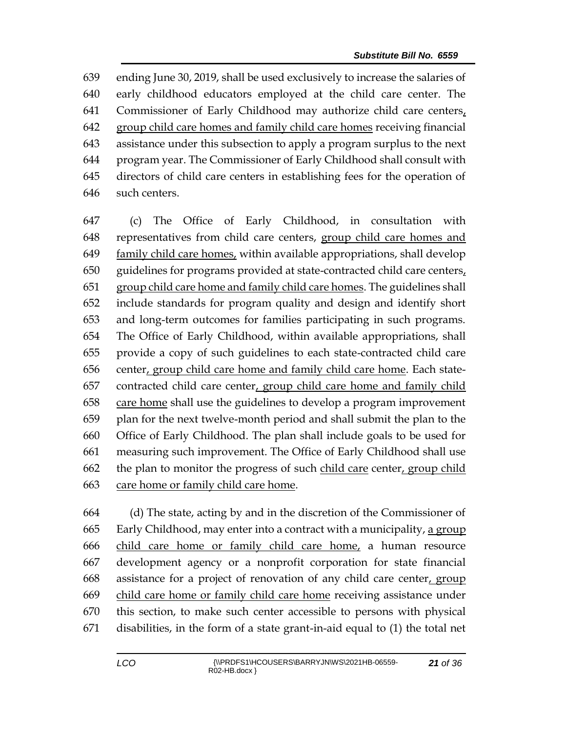ending June 30, 2019, shall be used exclusively to increase the salaries of early childhood educators employed at the child care center. The Commissioner of Early Childhood may authorize child care centers, 642 group child care homes and family child care homes receiving financial assistance under this subsection to apply a program surplus to the next program year. The Commissioner of Early Childhood shall consult with directors of child care centers in establishing fees for the operation of such centers.

 (c) The Office of Early Childhood, in consultation with representatives from child care centers, group child care homes and family child care homes, within available appropriations, shall develop guidelines for programs provided at state-contracted child care centers, group child care home and family child care homes. The guidelines shall include standards for program quality and design and identify short and long-term outcomes for families participating in such programs. The Office of Early Childhood, within available appropriations, shall provide a copy of such guidelines to each state-contracted child care center, group child care home and family child care home. Each state- contracted child care center, group child care home and family child care home shall use the guidelines to develop a program improvement plan for the next twelve-month period and shall submit the plan to the Office of Early Childhood. The plan shall include goals to be used for measuring such improvement. The Office of Early Childhood shall use the plan to monitor the progress of such child care center, group child care home or family child care home.

 (d) The state, acting by and in the discretion of the Commissioner of Early Childhood, may enter into a contract with a municipality, a group child care home or family child care home, a human resource development agency or a nonprofit corporation for state financial assistance for a project of renovation of any child care center, group child care home or family child care home receiving assistance under this section, to make such center accessible to persons with physical disabilities, in the form of a state grant-in-aid equal to (1) the total net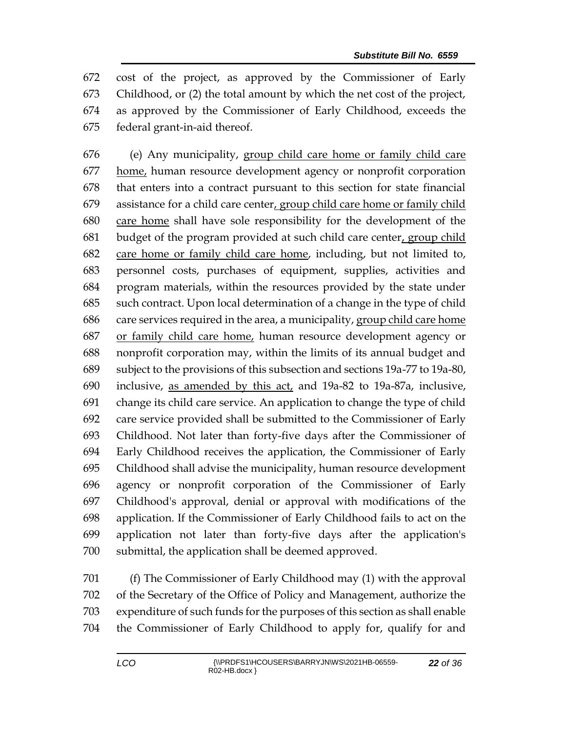cost of the project, as approved by the Commissioner of Early Childhood, or (2) the total amount by which the net cost of the project, as approved by the Commissioner of Early Childhood, exceeds the federal grant-in-aid thereof.

 (e) Any municipality, group child care home or family child care 677 home, human resource development agency or nonprofit corporation that enters into a contract pursuant to this section for state financial assistance for a child care center, group child care home or family child care home shall have sole responsibility for the development of the budget of the program provided at such child care center, group child care home or family child care home, including, but not limited to, personnel costs, purchases of equipment, supplies, activities and program materials, within the resources provided by the state under such contract. Upon local determination of a change in the type of child care services required in the area, a municipality, group child care home or family child care home, human resource development agency or nonprofit corporation may, within the limits of its annual budget and subject to the provisions of this subsection and sections 19a-77 to 19a-80, inclusive, as amended by this act, and 19a-82 to 19a-87a, inclusive, change its child care service. An application to change the type of child care service provided shall be submitted to the Commissioner of Early Childhood. Not later than forty-five days after the Commissioner of Early Childhood receives the application, the Commissioner of Early Childhood shall advise the municipality, human resource development agency or nonprofit corporation of the Commissioner of Early Childhood's approval, denial or approval with modifications of the application. If the Commissioner of Early Childhood fails to act on the application not later than forty-five days after the application's submittal, the application shall be deemed approved.

 (f) The Commissioner of Early Childhood may (1) with the approval of the Secretary of the Office of Policy and Management, authorize the expenditure of such funds for the purposes of this section as shall enable the Commissioner of Early Childhood to apply for, qualify for and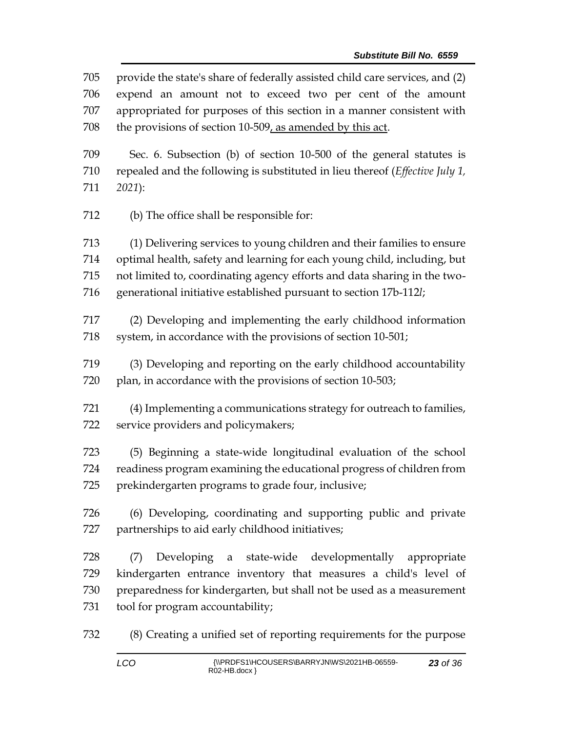provide the state's share of federally assisted child care services, and (2) expend an amount not to exceed two per cent of the amount appropriated for purposes of this section in a manner consistent with the provisions of section 10-509, as amended by this act. Sec. 6. Subsection (b) of section 10-500 of the general statutes is repealed and the following is substituted in lieu thereof (*Effective July 1, 2021*): (b) The office shall be responsible for: (1) Delivering services to young children and their families to ensure optimal health, safety and learning for each young child, including, but not limited to, coordinating agency efforts and data sharing in the two- generational initiative established pursuant to section 17b-112*l*; (2) Developing and implementing the early childhood information 718 system, in accordance with the provisions of section 10-501; (3) Developing and reporting on the early childhood accountability 720 plan, in accordance with the provisions of section 10-503; (4) Implementing a communications strategy for outreach to families, service providers and policymakers; (5) Beginning a state-wide longitudinal evaluation of the school readiness program examining the educational progress of children from prekindergarten programs to grade four, inclusive; (6) Developing, coordinating and supporting public and private partnerships to aid early childhood initiatives; (7) Developing a state-wide developmentally appropriate kindergarten entrance inventory that measures a child's level of preparedness for kindergarten, but shall not be used as a measurement tool for program accountability;

(8) Creating a unified set of reporting requirements for the purpose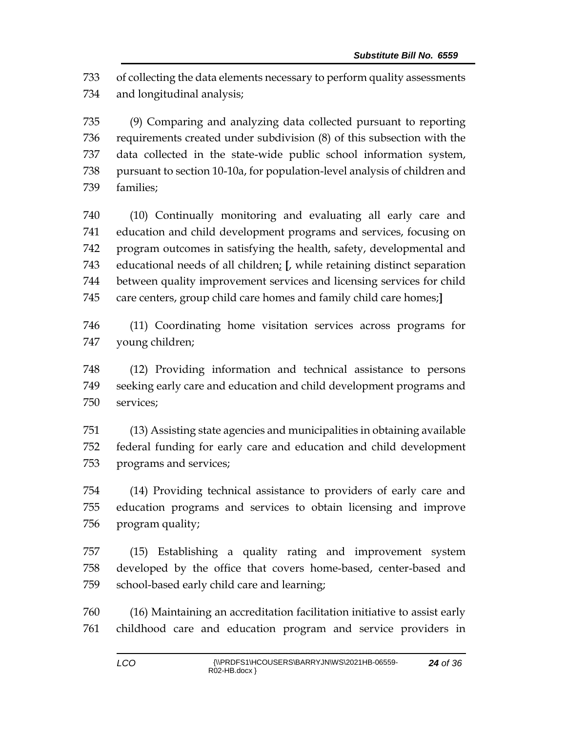of collecting the data elements necessary to perform quality assessments and longitudinal analysis;

 (9) Comparing and analyzing data collected pursuant to reporting requirements created under subdivision (8) of this subsection with the data collected in the state-wide public school information system, pursuant to section 10-10a, for population-level analysis of children and families;

 (10) Continually monitoring and evaluating all early care and education and child development programs and services, focusing on program outcomes in satisfying the health, safety, developmental and educational needs of all children; **[**, while retaining distinct separation between quality improvement services and licensing services for child care centers, group child care homes and family child care homes;**]**

 (11) Coordinating home visitation services across programs for young children;

 (12) Providing information and technical assistance to persons seeking early care and education and child development programs and services;

 (13) Assisting state agencies and municipalities in obtaining available federal funding for early care and education and child development programs and services;

 (14) Providing technical assistance to providers of early care and education programs and services to obtain licensing and improve program quality;

 (15) Establishing a quality rating and improvement system developed by the office that covers home-based, center-based and school-based early child care and learning;

 (16) Maintaining an accreditation facilitation initiative to assist early childhood care and education program and service providers in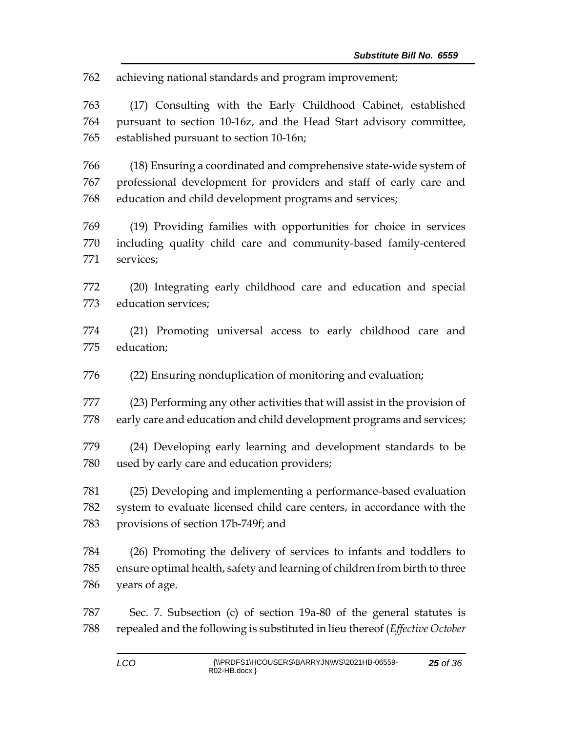achieving national standards and program improvement;

 (17) Consulting with the Early Childhood Cabinet, established pursuant to section 10-16z, and the Head Start advisory committee, established pursuant to section 10-16n;

 (18) Ensuring a coordinated and comprehensive state-wide system of professional development for providers and staff of early care and education and child development programs and services;

 (19) Providing families with opportunities for choice in services including quality child care and community-based family-centered services;

 (20) Integrating early childhood care and education and special education services;

 (21) Promoting universal access to early childhood care and education;

(22) Ensuring nonduplication of monitoring and evaluation;

 (23) Performing any other activities that will assist in the provision of early care and education and child development programs and services;

 (24) Developing early learning and development standards to be used by early care and education providers;

 (25) Developing and implementing a performance-based evaluation system to evaluate licensed child care centers, in accordance with the provisions of section 17b-749f; and

 (26) Promoting the delivery of services to infants and toddlers to ensure optimal health, safety and learning of children from birth to three years of age.

 Sec. 7. Subsection (c) of section 19a-80 of the general statutes is repealed and the following is substituted in lieu thereof (*Effective October*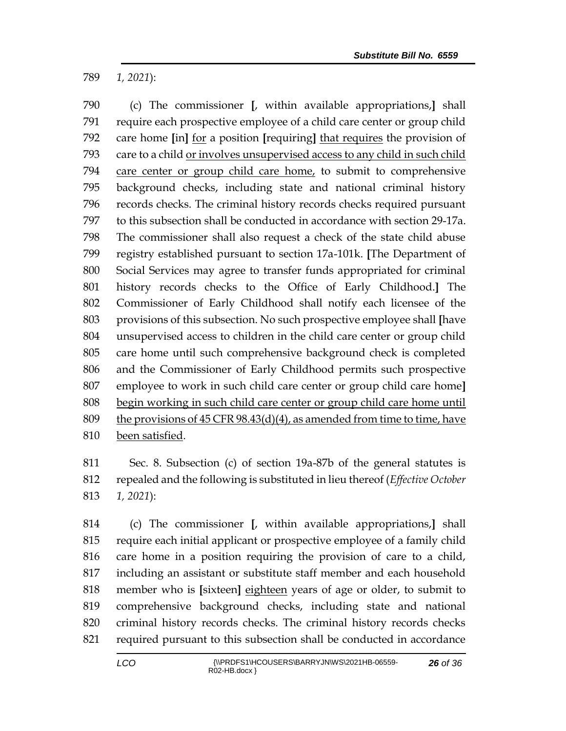*1, 2021*):

 (c) The commissioner **[**, within available appropriations,**]** shall require each prospective employee of a child care center or group child care home **[**in**]** for a position **[**requiring**]** that requires the provision of 793 care to a child or involves unsupervised access to any child in such child care center or group child care home, to submit to comprehensive background checks, including state and national criminal history records checks. The criminal history records checks required pursuant to this subsection shall be conducted in accordance with section 29-17a. The commissioner shall also request a check of the state child abuse registry established pursuant to section 17a-101k. **[**The Department of Social Services may agree to transfer funds appropriated for criminal history records checks to the Office of Early Childhood.**]** The Commissioner of Early Childhood shall notify each licensee of the provisions of this subsection. No such prospective employee shall **[**have unsupervised access to children in the child care center or group child care home until such comprehensive background check is completed and the Commissioner of Early Childhood permits such prospective employee to work in such child care center or group child care home**]** begin working in such child care center or group child care home until 809 the provisions of CFR  $98.43(d)(4)$ , as amended from time to time, have been satisfied.

 Sec. 8. Subsection (c) of section 19a-87b of the general statutes is repealed and the following is substituted in lieu thereof (*Effective October 1, 2021*):

 (c) The commissioner **[**, within available appropriations,**]** shall require each initial applicant or prospective employee of a family child care home in a position requiring the provision of care to a child, including an assistant or substitute staff member and each household member who is **[**sixteen**]** eighteen years of age or older, to submit to comprehensive background checks, including state and national criminal history records checks. The criminal history records checks required pursuant to this subsection shall be conducted in accordance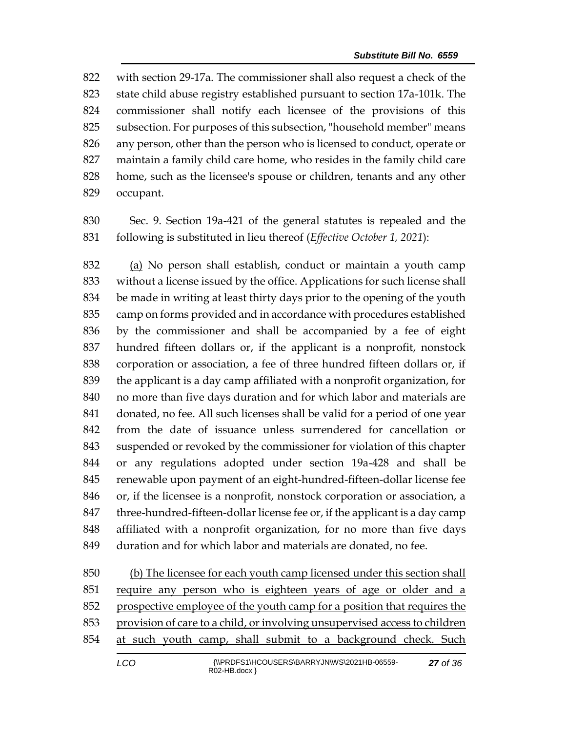with section 29-17a. The commissioner shall also request a check of the state child abuse registry established pursuant to section 17a-101k. The commissioner shall notify each licensee of the provisions of this subsection. For purposes of this subsection, "household member" means any person, other than the person who is licensed to conduct, operate or maintain a family child care home, who resides in the family child care home, such as the licensee's spouse or children, tenants and any other occupant.

 Sec. 9. Section 19a-421 of the general statutes is repealed and the following is substituted in lieu thereof (*Effective October 1, 2021*):

 (a) No person shall establish, conduct or maintain a youth camp without a license issued by the office. Applications for such license shall be made in writing at least thirty days prior to the opening of the youth camp on forms provided and in accordance with procedures established by the commissioner and shall be accompanied by a fee of eight hundred fifteen dollars or, if the applicant is a nonprofit, nonstock corporation or association, a fee of three hundred fifteen dollars or, if the applicant is a day camp affiliated with a nonprofit organization, for no more than five days duration and for which labor and materials are donated, no fee. All such licenses shall be valid for a period of one year from the date of issuance unless surrendered for cancellation or suspended or revoked by the commissioner for violation of this chapter or any regulations adopted under section 19a-428 and shall be renewable upon payment of an eight-hundred-fifteen-dollar license fee or, if the licensee is a nonprofit, nonstock corporation or association, a 847 three-hundred-fifteen-dollar license fee or, if the applicant is a day camp affiliated with a nonprofit organization, for no more than five days duration and for which labor and materials are donated, no fee.

 (b) The licensee for each youth camp licensed under this section shall require any person who is eighteen years of age or older and a 852 prospective employee of the youth camp for a position that requires the provision of care to a child, or involving unsupervised access to children at such youth camp, shall submit to a background check. Such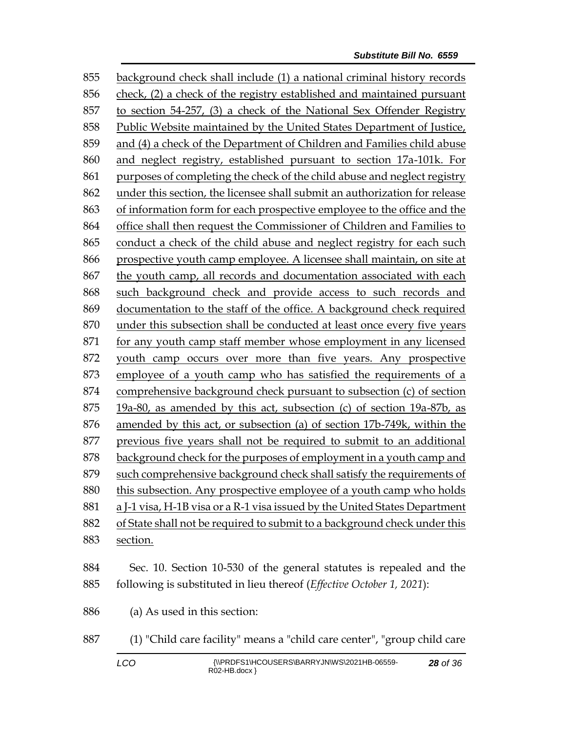background check shall include (1) a national criminal history records check, (2) a check of the registry established and maintained pursuant to section 54-257, (3) a check of the National Sex Offender Registry Public Website maintained by the United States Department of Justice, and (4) a check of the Department of Children and Families child abuse and neglect registry, established pursuant to section 17a-101k. For purposes of completing the check of the child abuse and neglect registry under this section, the licensee shall submit an authorization for release of information form for each prospective employee to the office and the office shall then request the Commissioner of Children and Families to conduct a check of the child abuse and neglect registry for each such prospective youth camp employee. A licensee shall maintain, on site at the youth camp, all records and documentation associated with each such background check and provide access to such records and documentation to the staff of the office. A background check required under this subsection shall be conducted at least once every five years for any youth camp staff member whose employment in any licensed youth camp occurs over more than five years. Any prospective employee of a youth camp who has satisfied the requirements of a comprehensive background check pursuant to subsection (c) of section 19a-80, as amended by this act, subsection (c) of section 19a-87b, as amended by this act, or subsection (a) of section 17b-749k, within the previous five years shall not be required to submit to an additional background check for the purposes of employment in a youth camp and such comprehensive background check shall satisfy the requirements of this subsection. Any prospective employee of a youth camp who holds a J-1 visa, H-1B visa or a R-1 visa issued by the United States Department of State shall not be required to submit to a background check under this section. Sec. 10. Section 10-530 of the general statutes is repealed and the following is substituted in lieu thereof (*Effective October 1, 2021*): (a) As used in this section:

- (1) "Child care facility" means a "child care center", "group child care
	-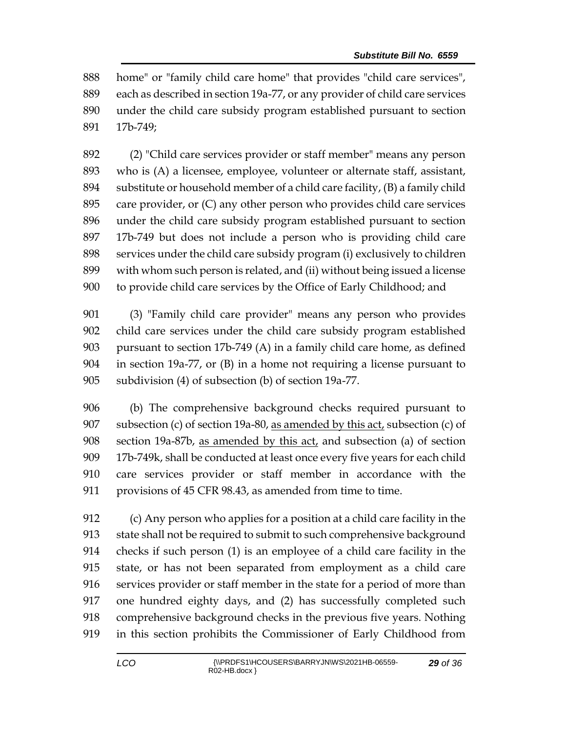home" or "family child care home" that provides "child care services", each as described in section 19a-77, or any provider of child care services under the child care subsidy program established pursuant to section 17b-749;

 (2) "Child care services provider or staff member" means any person who is (A) a licensee, employee, volunteer or alternate staff, assistant, substitute or household member of a child care facility, (B) a family child care provider, or (C) any other person who provides child care services under the child care subsidy program established pursuant to section 17b-749 but does not include a person who is providing child care services under the child care subsidy program (i) exclusively to children with whom such person is related, and (ii) without being issued a license to provide child care services by the Office of Early Childhood; and

 (3) "Family child care provider" means any person who provides child care services under the child care subsidy program established pursuant to section 17b-749 (A) in a family child care home, as defined in section 19a-77, or (B) in a home not requiring a license pursuant to subdivision (4) of subsection (b) of section 19a-77.

 (b) The comprehensive background checks required pursuant to 907 subsection (c) of section 19a-80, as amended by this  $act<sub>t</sub>$  subsection (c) of section 19a-87b, as amended by this act, and subsection (a) of section 17b-749k, shall be conducted at least once every five years for each child care services provider or staff member in accordance with the provisions of 45 CFR 98.43, as amended from time to time.

 (c) Any person who applies for a position at a child care facility in the state shall not be required to submit to such comprehensive background checks if such person (1) is an employee of a child care facility in the state, or has not been separated from employment as a child care services provider or staff member in the state for a period of more than one hundred eighty days, and (2) has successfully completed such comprehensive background checks in the previous five years. Nothing in this section prohibits the Commissioner of Early Childhood from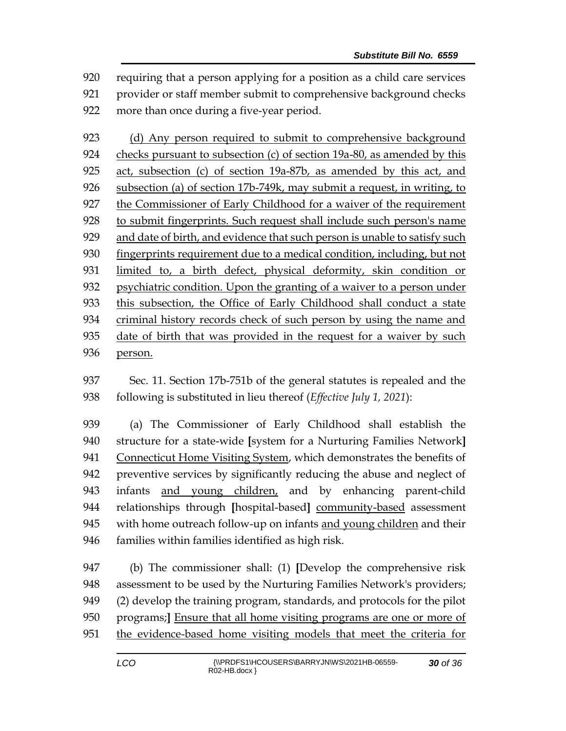requiring that a person applying for a position as a child care services provider or staff member submit to comprehensive background checks more than once during a five-year period.

923 (d) Any person required to submit to comprehensive background checks pursuant to subsection (c) of section 19a-80, as amended by this act, subsection (c) of section 19a-87b, as amended by this act, and subsection (a) of section 17b-749k, may submit a request, in writing, to the Commissioner of Early Childhood for a waiver of the requirement to submit fingerprints. Such request shall include such person's name and date of birth, and evidence that such person is unable to satisfy such fingerprints requirement due to a medical condition, including, but not limited to, a birth defect, physical deformity, skin condition or psychiatric condition. Upon the granting of a waiver to a person under this subsection, the Office of Early Childhood shall conduct a state criminal history records check of such person by using the name and date of birth that was provided in the request for a waiver by such person.

 Sec. 11. Section 17b-751b of the general statutes is repealed and the following is substituted in lieu thereof (*Effective July 1, 2021*):

 (a) The Commissioner of Early Childhood shall establish the structure for a state-wide **[**system for a Nurturing Families Network**]** Connecticut Home Visiting System, which demonstrates the benefits of preventive services by significantly reducing the abuse and neglect of infants and young children, and by enhancing parent-child relationships through **[**hospital-based**]** community-based assessment 945 with home outreach follow-up on infants and young children and their 946 families within families identified as high risk.

 (b) The commissioner shall: (1) **[**Develop the comprehensive risk assessment to be used by the Nurturing Families Network's providers; (2) develop the training program, standards, and protocols for the pilot programs;**]** Ensure that all home visiting programs are one or more of the evidence-based home visiting models that meet the criteria for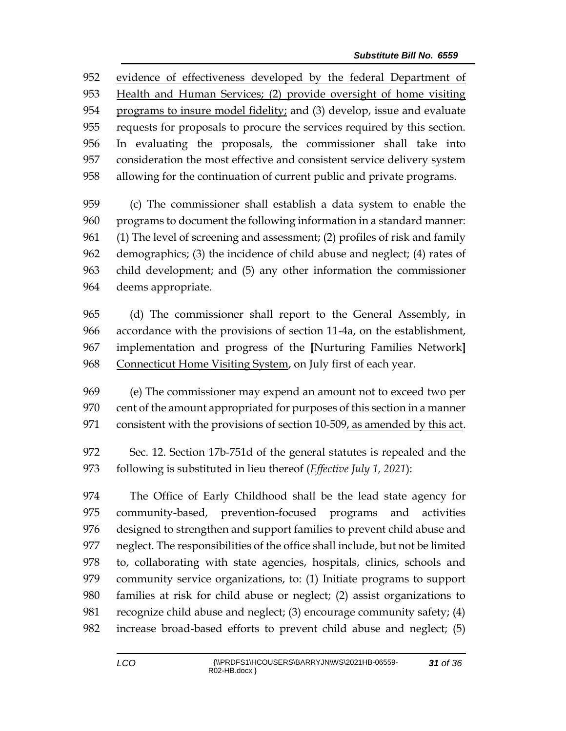evidence of effectiveness developed by the federal Department of Health and Human Services; (2) provide oversight of home visiting programs to insure model fidelity; and (3) develop, issue and evaluate requests for proposals to procure the services required by this section. In evaluating the proposals, the commissioner shall take into consideration the most effective and consistent service delivery system allowing for the continuation of current public and private programs.

 (c) The commissioner shall establish a data system to enable the programs to document the following information in a standard manner: (1) The level of screening and assessment; (2) profiles of risk and family demographics; (3) the incidence of child abuse and neglect; (4) rates of child development; and (5) any other information the commissioner deems appropriate.

 (d) The commissioner shall report to the General Assembly, in accordance with the provisions of section 11-4a, on the establishment, implementation and progress of the **[**Nurturing Families Network**]** Connecticut Home Visiting System, on July first of each year.

 (e) The commissioner may expend an amount not to exceed two per cent of the amount appropriated for purposes of this section in a manner 971 consistent with the provisions of section 10-509, as amended by this act.

 Sec. 12. Section 17b-751d of the general statutes is repealed and the following is substituted in lieu thereof (*Effective July 1, 2021*):

 The Office of Early Childhood shall be the lead state agency for community-based, prevention-focused programs and activities designed to strengthen and support families to prevent child abuse and neglect. The responsibilities of the office shall include, but not be limited to, collaborating with state agencies, hospitals, clinics, schools and community service organizations, to: (1) Initiate programs to support families at risk for child abuse or neglect; (2) assist organizations to recognize child abuse and neglect; (3) encourage community safety; (4) increase broad-based efforts to prevent child abuse and neglect; (5)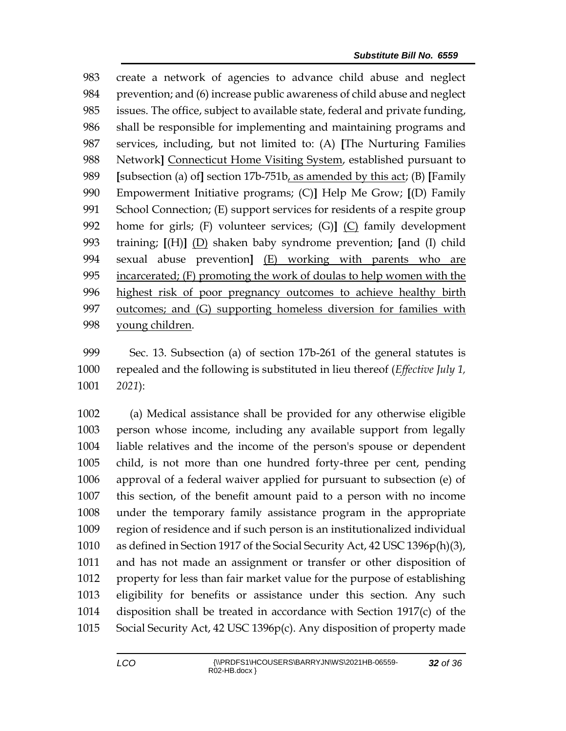create a network of agencies to advance child abuse and neglect prevention; and (6) increase public awareness of child abuse and neglect issues. The office, subject to available state, federal and private funding, shall be responsible for implementing and maintaining programs and services, including, but not limited to: (A) **[**The Nurturing Families 988 Network<sup>]</sup> Connecticut Home Visiting System, established pursuant to **[**subsection (a) of**]** section 17b-751b, as amended by this act; (B) **[**Family Empowerment Initiative programs; (C)**]** Help Me Grow; **[**(D) Family School Connection; (E) support services for residents of a respite group home for girls; (F) volunteer services; (G)**]** (C) family development training; **[**(H)**]** (D) shaken baby syndrome prevention; **[**and (I) child sexual abuse prevention**]** (E) working with parents who are incarcerated; (F) promoting the work of doulas to help women with the highest risk of poor pregnancy outcomes to achieve healthy birth outcomes; and (G) supporting homeless diversion for families with young children.

 Sec. 13. Subsection (a) of section 17b-261 of the general statutes is repealed and the following is substituted in lieu thereof (*Effective July 1, 2021*):

 (a) Medical assistance shall be provided for any otherwise eligible person whose income, including any available support from legally liable relatives and the income of the person's spouse or dependent child, is not more than one hundred forty-three per cent, pending approval of a federal waiver applied for pursuant to subsection (e) of this section, of the benefit amount paid to a person with no income under the temporary family assistance program in the appropriate region of residence and if such person is an institutionalized individual as defined in Section 1917 of the Social Security Act, 42 USC 1396p(h)(3), and has not made an assignment or transfer or other disposition of property for less than fair market value for the purpose of establishing eligibility for benefits or assistance under this section. Any such disposition shall be treated in accordance with Section 1917(c) of the Social Security Act, 42 USC 1396p(c). Any disposition of property made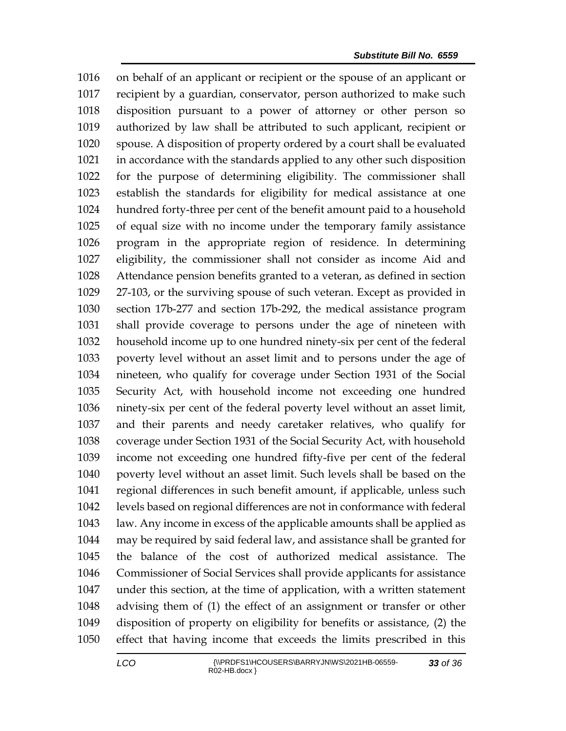on behalf of an applicant or recipient or the spouse of an applicant or recipient by a guardian, conservator, person authorized to make such disposition pursuant to a power of attorney or other person so authorized by law shall be attributed to such applicant, recipient or spouse. A disposition of property ordered by a court shall be evaluated in accordance with the standards applied to any other such disposition for the purpose of determining eligibility. The commissioner shall establish the standards for eligibility for medical assistance at one hundred forty-three per cent of the benefit amount paid to a household of equal size with no income under the temporary family assistance program in the appropriate region of residence. In determining eligibility, the commissioner shall not consider as income Aid and Attendance pension benefits granted to a veteran, as defined in section 27-103, or the surviving spouse of such veteran. Except as provided in section 17b-277 and section 17b-292, the medical assistance program shall provide coverage to persons under the age of nineteen with household income up to one hundred ninety-six per cent of the federal poverty level without an asset limit and to persons under the age of nineteen, who qualify for coverage under Section 1931 of the Social Security Act, with household income not exceeding one hundred ninety-six per cent of the federal poverty level without an asset limit, and their parents and needy caretaker relatives, who qualify for coverage under Section 1931 of the Social Security Act, with household income not exceeding one hundred fifty-five per cent of the federal poverty level without an asset limit. Such levels shall be based on the regional differences in such benefit amount, if applicable, unless such levels based on regional differences are not in conformance with federal law. Any income in excess of the applicable amounts shall be applied as may be required by said federal law, and assistance shall be granted for the balance of the cost of authorized medical assistance. The Commissioner of Social Services shall provide applicants for assistance under this section, at the time of application, with a written statement advising them of (1) the effect of an assignment or transfer or other disposition of property on eligibility for benefits or assistance, (2) the effect that having income that exceeds the limits prescribed in this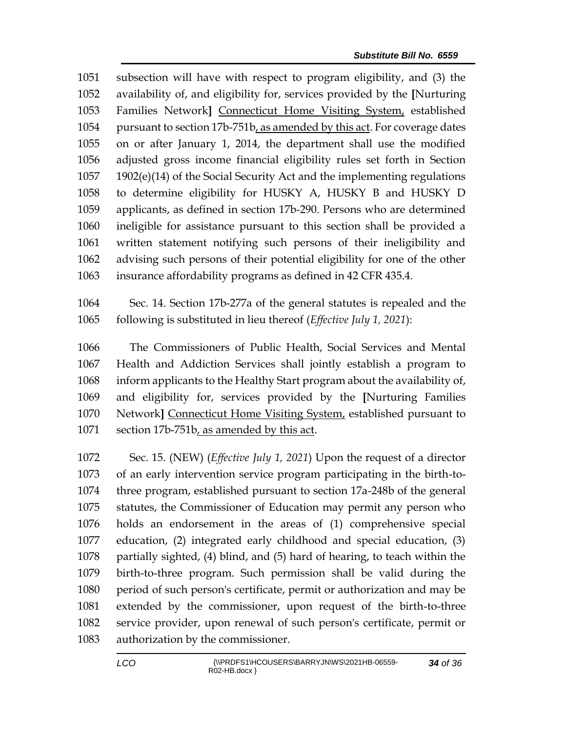subsection will have with respect to program eligibility, and (3) the availability of, and eligibility for, services provided by the **[**Nurturing Families Network**]** Connecticut Home Visiting System, established pursuant to section 17b-751b, as amended by this act. For coverage dates on or after January 1, 2014, the department shall use the modified adjusted gross income financial eligibility rules set forth in Section 1902(e)(14) of the Social Security Act and the implementing regulations to determine eligibility for HUSKY A, HUSKY B and HUSKY D applicants, as defined in section 17b-290. Persons who are determined ineligible for assistance pursuant to this section shall be provided a written statement notifying such persons of their ineligibility and advising such persons of their potential eligibility for one of the other insurance affordability programs as defined in 42 CFR 435.4.

 Sec. 14. Section 17b-277a of the general statutes is repealed and the following is substituted in lieu thereof (*Effective July 1, 2021*):

 The Commissioners of Public Health, Social Services and Mental Health and Addiction Services shall jointly establish a program to inform applicants to the Healthy Start program about the availability of, and eligibility for, services provided by the **[**Nurturing Families Network**]** Connecticut Home Visiting System, established pursuant to 1071 section 17b-751b, as amended by this act.

 Sec. 15. (NEW) (*Effective July 1, 2021*) Upon the request of a director of an early intervention service program participating in the birth-to- three program, established pursuant to section 17a-248b of the general statutes, the Commissioner of Education may permit any person who holds an endorsement in the areas of (1) comprehensive special education, (2) integrated early childhood and special education, (3) partially sighted, (4) blind, and (5) hard of hearing, to teach within the birth-to-three program. Such permission shall be valid during the period of such person's certificate, permit or authorization and may be extended by the commissioner, upon request of the birth-to-three service provider, upon renewal of such person's certificate, permit or authorization by the commissioner.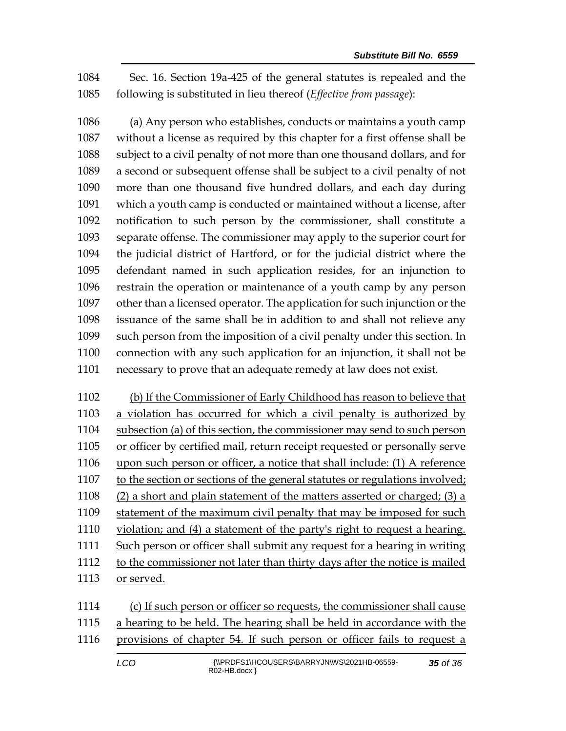Sec. 16. Section 19a-425 of the general statutes is repealed and the following is substituted in lieu thereof (*Effective from passage*):

 (a) Any person who establishes, conducts or maintains a youth camp without a license as required by this chapter for a first offense shall be subject to a civil penalty of not more than one thousand dollars, and for a second or subsequent offense shall be subject to a civil penalty of not more than one thousand five hundred dollars, and each day during which a youth camp is conducted or maintained without a license, after notification to such person by the commissioner, shall constitute a separate offense. The commissioner may apply to the superior court for the judicial district of Hartford, or for the judicial district where the defendant named in such application resides, for an injunction to restrain the operation or maintenance of a youth camp by any person other than a licensed operator. The application for such injunction or the issuance of the same shall be in addition to and shall not relieve any such person from the imposition of a civil penalty under this section. In connection with any such application for an injunction, it shall not be necessary to prove that an adequate remedy at law does not exist.

 (b) If the Commissioner of Early Childhood has reason to believe that a violation has occurred for which a civil penalty is authorized by subsection (a) of this section, the commissioner may send to such person or officer by certified mail, return receipt requested or personally serve upon such person or officer, a notice that shall include: (1) A reference to the section or sections of the general statutes or regulations involved; (2) a short and plain statement of the matters asserted or charged; (3) a statement of the maximum civil penalty that may be imposed for such violation; and (4) a statement of the party's right to request a hearing. Such person or officer shall submit any request for a hearing in writing to the commissioner not later than thirty days after the notice is mailed or served.

 (c) If such person or officer so requests, the commissioner shall cause a hearing to be held. The hearing shall be held in accordance with the provisions of chapter 54. If such person or officer fails to request a